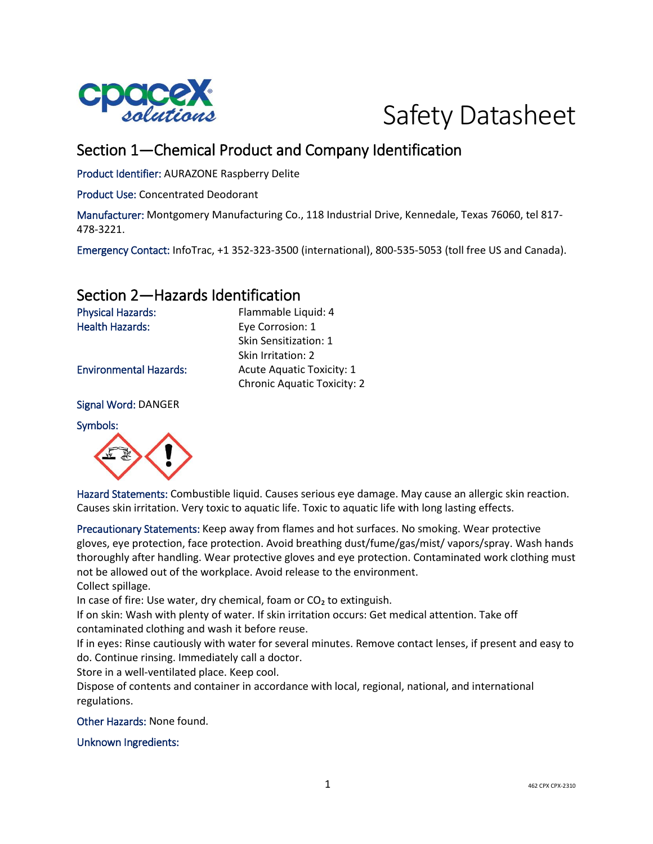



# Section 1—Chemical Product and Company Identification

Product Identifier: AURAZONE Raspberry Delite

Product Use: Concentrated Deodorant

Manufacturer: Montgomery Manufacturing Co., 118 Industrial Drive, Kennedale, Texas 76060, tel 817- 478-3221.

Emergency Contact: InfoTrac, +1 352-323-3500 (international), 800-535-5053 (toll free US and Canada).

### Section 2—Hazards Identification

Physical Hazards: Flammable Liquid: 4 Health Hazards: Eye Corrosion: 1

Environmental Hazards: Acute Aquatic Toxicity: 1

Signal Word: DANGER

Symbols:



Hazard Statements: Combustible liquid. Causes serious eye damage. May cause an allergic skin reaction. Causes skin irritation. Very toxic to aquatic life. Toxic to aquatic life with long lasting effects.

Precautionary Statements: Keep away from flames and hot surfaces. No smoking. Wear protective gloves, eye protection, face protection. Avoid breathing dust/fume/gas/mist/ vapors/spray. Wash hands thoroughly after handling. Wear protective gloves and eye protection. Contaminated work clothing must not be allowed out of the workplace. Avoid release to the environment.

Collect spillage.

In case of fire: Use water, dry chemical, foam or CO<sub>2</sub> to extinguish.

If on skin: Wash with plenty of water. If skin irritation occurs: Get medical attention. Take off contaminated clothing and wash it before reuse.

If in eyes: Rinse cautiously with water for several minutes. Remove contact lenses, if present and easy to do. Continue rinsing. Immediately call a doctor.

Store in a well-ventilated place. Keep cool.

Dispose of contents and container in accordance with local, regional, national, and international regulations.

Other Hazards: None found.

Unknown Ingredients:

Chronic Aquatic Toxicity: 2

Skin Sensitization: 1 Skin Irritation: 2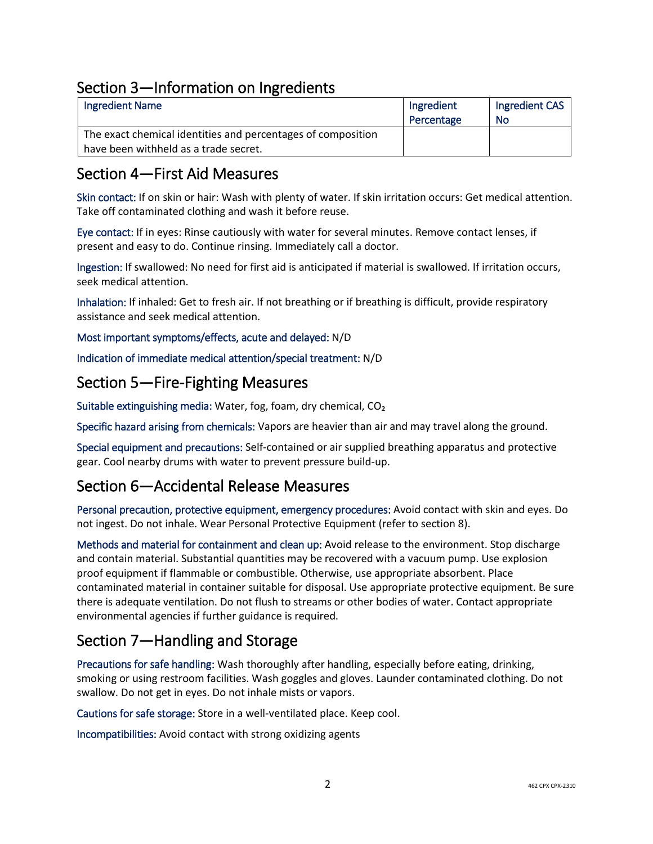# Section 3—Information on Ingredients

| <b>Ingredient Name</b>                                       | Ingredient | Ingredient CAS |
|--------------------------------------------------------------|------------|----------------|
|                                                              | Percentage | No             |
| The exact chemical identities and percentages of composition |            |                |
| have been withheld as a trade secret.                        |            |                |

### Section 4—First Aid Measures

Skin contact: If on skin or hair: Wash with plenty of water. If skin irritation occurs: Get medical attention. Take off contaminated clothing and wash it before reuse.

Eye contact: If in eyes: Rinse cautiously with water for several minutes. Remove contact lenses, if present and easy to do. Continue rinsing. Immediately call a doctor.

Ingestion: If swallowed: No need for first aid is anticipated if material is swallowed. If irritation occurs, seek medical attention.

Inhalation: If inhaled: Get to fresh air. If not breathing or if breathing is difficult, provide respiratory assistance and seek medical attention.

Most important symptoms/effects, acute and delayed: N/D

Indication of immediate medical attention/special treatment: N/D

#### Section 5—Fire-Fighting Measures

Suitable extinguishing media: Water, fog, foam, dry chemical, CO₂

Specific hazard arising from chemicals: Vapors are heavier than air and may travel along the ground.

Special equipment and precautions: Self-contained or air supplied breathing apparatus and protective gear. Cool nearby drums with water to prevent pressure build-up.

# Section 6—Accidental Release Measures

Personal precaution, protective equipment, emergency procedures: Avoid contact with skin and eyes. Do not ingest. Do not inhale. Wear Personal Protective Equipment (refer to section 8).

Methods and material for containment and clean up: Avoid release to the environment. Stop discharge and contain material. Substantial quantities may be recovered with a vacuum pump. Use explosion proof equipment if flammable or combustible. Otherwise, use appropriate absorbent. Place contaminated material in container suitable for disposal. Use appropriate protective equipment. Be sure there is adequate ventilation. Do not flush to streams or other bodies of water. Contact appropriate environmental agencies if further guidance is required.

# Section 7—Handling and Storage

Precautions for safe handling: Wash thoroughly after handling, especially before eating, drinking, smoking or using restroom facilities. Wash goggles and gloves. Launder contaminated clothing. Do not swallow. Do not get in eyes. Do not inhale mists or vapors.

Cautions for safe storage: Store in a well-ventilated place. Keep cool.

Incompatibilities: Avoid contact with strong oxidizing agents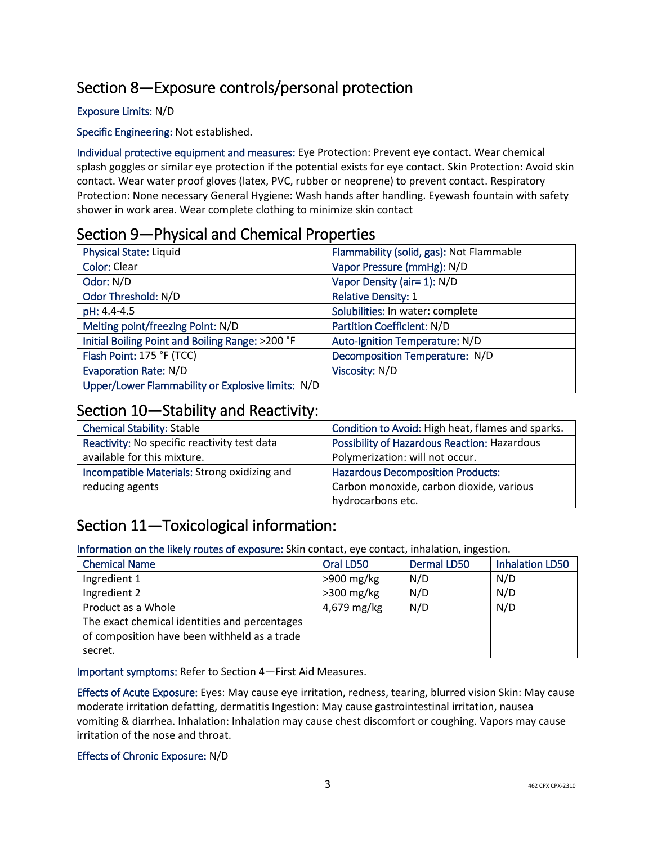# Section 8—Exposure controls/personal protection

#### Exposure Limits: N/D

Specific Engineering: Not established.

Individual protective equipment and measures: Eye Protection: Prevent eye contact. Wear chemical splash goggles or similar eye protection if the potential exists for eye contact. Skin Protection: Avoid skin contact. Wear water proof gloves (latex, PVC, rubber or neoprene) to prevent contact. Respiratory Protection: None necessary General Hygiene: Wash hands after handling. Eyewash fountain with safety shower in work area. Wear complete clothing to minimize skin contact

### Section 9—Physical and Chemical Properties

| <b>Physical State: Liquid</b>                     | Flammability (solid, gas): Not Flammable |
|---------------------------------------------------|------------------------------------------|
| <b>Color: Clear</b>                               | Vapor Pressure (mmHg): N/D               |
| Odor: N/D                                         | Vapor Density (air= 1): N/D              |
| Odor Threshold: N/D                               | <b>Relative Density: 1</b>               |
| pH: 4.4-4.5                                       | Solubilities: In water: complete         |
| Melting point/freezing Point: N/D                 | <b>Partition Coefficient: N/D</b>        |
| Initial Boiling Point and Boiling Range: >200 °F  | Auto-Ignition Temperature: N/D           |
| Flash Point: 175 °F (TCC)                         | Decomposition Temperature: N/D           |
| <b>Evaporation Rate: N/D</b>                      | Viscosity: N/D                           |
| Upper/Lower Flammability or Explosive limits: N/D |                                          |

### Section 10—Stability and Reactivity:

| <b>Chemical Stability: Stable</b>            | Condition to Avoid: High heat, flames and sparks. |
|----------------------------------------------|---------------------------------------------------|
| Reactivity: No specific reactivity test data | Possibility of Hazardous Reaction: Hazardous      |
| available for this mixture.                  | Polymerization: will not occur.                   |
| Incompatible Materials: Strong oxidizing and | <b>Hazardous Decomposition Products:</b>          |
| reducing agents                              | Carbon monoxide, carbon dioxide, various          |
|                                              | hydrocarbons etc.                                 |

# Section 11—Toxicological information:

Information on the likely routes of exposure: Skin contact, eye contact, inhalation, ingestion.

| <b>Chemical Name</b>                          | Oral LD50    | Dermal LD50 | <b>Inhalation LD50</b> |
|-----------------------------------------------|--------------|-------------|------------------------|
| Ingredient 1                                  | $>900$ mg/kg | N/D         | N/D                    |
| Ingredient 2                                  | $>300$ mg/kg | N/D         | N/D                    |
| Product as a Whole                            | 4,679 mg/kg  | N/D         | N/D                    |
| The exact chemical identities and percentages |              |             |                        |
| of composition have been withheld as a trade  |              |             |                        |
| secret.                                       |              |             |                        |

Important symptoms: Refer to Section 4—First Aid Measures.

Effects of Acute Exposure: Eyes: May cause eye irritation, redness, tearing, blurred vision Skin: May cause moderate irritation defatting, dermatitis Ingestion: May cause gastrointestinal irritation, nausea vomiting & diarrhea. Inhalation: Inhalation may cause chest discomfort or coughing. Vapors may cause irritation of the nose and throat.

#### Effects of Chronic Exposure: N/D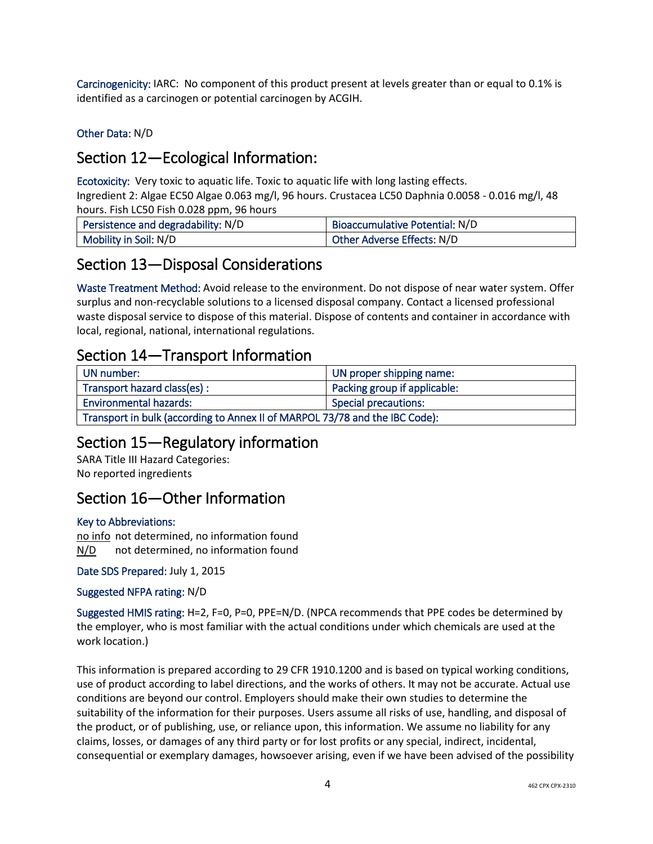Carcinogenicity: IARC: No component of this product present at levels greater than or equal to 0.1% is identified as a carcinogen or potential carcinogen by ACGIH.

Other Data: N/D

# Section 12—Ecological Information:

Ecotoxicity: Very toxic to aquatic life. Toxic to aquatic life with long lasting effects.

Ingredient 2: Algae EC50 Algae 0.063 mg/l, 96 hours. Crustacea LC50 Daphnia 0.0058 - 0.016 mg/l, 48 hours. Fish LC50 Fish 0.028 ppm, 96 hours

| Persistence and degradability: N/D | Bioaccumulative Potential: N/D |
|------------------------------------|--------------------------------|
| Mobility in Soil: N/D              | Other Adverse Effects: N/D     |

### Section 13—Disposal Considerations

Waste Treatment Method: Avoid release to the environment. Do not dispose of near water system. Offer surplus and non-recyclable solutions to a licensed disposal company. Contact a licensed professional waste disposal service to dispose of this material. Dispose of contents and container in accordance with local, regional, national, international regulations.

### Section 14—Transport Information

| UN number:                                                                  | UN proper shipping name:     |  |
|-----------------------------------------------------------------------------|------------------------------|--|
| Transport hazard class(es) :                                                | Packing group if applicable: |  |
| <b>Environmental hazards:</b>                                               | Special precautions:         |  |
| Transport in bulk (according to Annex II of MARPOL 73/78 and the IBC Code): |                              |  |

### Section 15—Regulatory information

SARA Title III Hazard Categories: No reported ingredients

# Section 16—Other Information

#### Key to Abbreviations:

no info not determined, no information found N/D not determined, no information found

Date SDS Prepared: July 1, 2015

#### Suggested NFPA rating: N/D

Suggested HMIS rating: H=2, F=0, P=0, PPE=N/D. (NPCA recommends that PPE codes be determined by the employer, who is most familiar with the actual conditions under which chemicals are used at the work location.)

This information is prepared according to 29 CFR 1910.1200 and is based on typical working conditions, use of product according to label directions, and the works of others. It may not be accurate. Actual use conditions are beyond our control. Employers should make their own studies to determine the suitability of the information for their purposes. Users assume all risks of use, handling, and disposal of the product, or of publishing, use, or reliance upon, this information. We assume no liability for any claims, losses, or damages of any third party or for lost profits or any special, indirect, incidental, consequential or exemplary damages, howsoever arising, even if we have been advised of the possibility